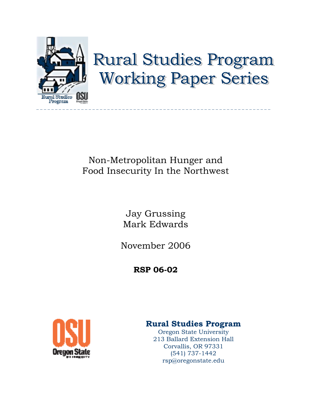

# **Rural Studies Program Working Paper Series**

## Non-Metropolitan Hunger and Food Insecurity In the Northwest

Jay Grussing Mark Edwards

November 2006

**RSP 06-02**



### **Rural Studies Program**

Oregon State University 213 Ballard Extension Hall Corvallis, OR 97331 (541) 737-1442 rsp@oregonstate.edu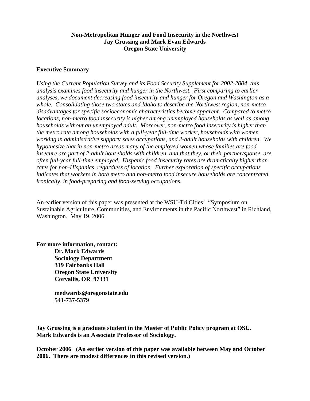#### **Non-Metropolitan Hunger and Food Insecurity in the Northwest Jay Grussing and Mark Evan Edwards Oregon State University**

#### **Executive Summary**

*Using the Current Population Survey and its Food Security Supplement for 2002-2004, this analysis examines food insecurity and hunger in the Northwest. First comparing to earlier analyses, we document decreasing food insecurity and hunger for Oregon and Washington as a whole. Consolidating those two states and Idaho to describe the Northwest region, non-metro disadvantages for specific socioeconomic characteristics become apparent. Compared to metro locations, non-metro food insecurity is higher among unemployed households as well as among households without an unemployed adult. Moreover, non-metro food insecurity is higher than the metro rate among households with a full-year full-time worker, households with women working in administrative support/ sales occupations, and 2-adult households with children. We hypothesize that in non-metro areas many of the employed women whose families are food insecure are part of 2-adult households with children, and that they, or their partner/spouse, are often full-year full-time employed. Hispanic food insecurity rates are dramatically higher than rates for non-Hispanics, regardless of location. Further exploration of specific occupations indicates that workers in both metro and non-metro food insecure households are concentrated, ironically, in food-preparing and food-serving occupations.* 

An earlier version of this paper was presented at the WSU-Tri Cities' "Symposium on Sustainable Agriculture, Communities, and Environments in the Pacific Northwest" in Richland, Washington. May 19, 2006.

**For more information, contact: Dr. Mark Edwards Sociology Department 319 Fairbanks Hall Oregon State University Corvallis, OR 97331** 

> **medwards@oregonstate.edu 541-737-5379**

**Jay Grussing is a graduate student in the Master of Public Policy program at OSU. Mark Edwards is an Associate Professor of Sociology.** 

**October 2006 (An earlier version of this paper was available between May and October 2006. There are modest differences in this revised version.)**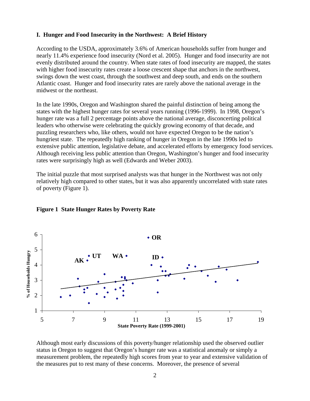#### **I. Hunger and Food Insecurity in the Northwest: A Brief History**

According to the USDA, approximately 3.6% of American households suffer from hunger and nearly 11.4% experience food insecurity (Nord et al. 2005). Hunger and food insecurity are not evenly distributed around the country. When state rates of food insecurity are mapped, the states with higher food insecurity rates create a loose crescent shape that anchors in the northwest, swings down the west coast, through the southwest and deep south, and ends on the southern Atlantic coast. Hunger and food insecurity rates are rarely above the national average in the midwest or the northeast.

In the late 1990s, Oregon and Washington shared the painful distinction of being among the states with the highest hunger rates for several years running (1996-1999). In 1998, Oregon's hunger rate was a full 2 percentage points above the national average, disconcerting political leaders who otherwise were celebrating the quickly growing economy of that decade, and puzzling researchers who, like others, would not have expected Oregon to be the nation's hungriest state. The repeatedly high ranking of hunger in Oregon in the late 1990s led to extensive public attention, legislative debate, and accelerated efforts by emergency food services. Although receiving less public attention than Oregon, Washington's hunger and food insecurity rates were surprisingly high as well (Edwards and Weber 2003).

The initial puzzle that most surprised analysts was that hunger in the Northwest was not only relatively high compared to other states, but it was also apparently uncorrelated with state rates of poverty (Figure 1).



#### **Figure 1 State Hunger Rates by Poverty Rate**

Although most early discussions of this poverty/hunger relationship used the observed outlier status in Oregon to suggest that Oregon's hunger rate was a statistical anomaly or simply a measurement problem, the repeatedly high scores from year to year and extensive validation of the measures put to rest many of these concerns. Moreover, the presence of several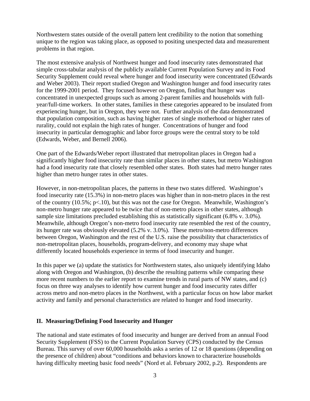Northwestern states outside of the overall pattern lent credibility to the notion that something unique to the region was taking place, as opposed to positing unexpected data and measurement problems in that region.

The most extensive analysis of Northwest hunger and food insecurity rates demonstrated that simple cross-tabular analysis of the publicly available Current Population Survey and its Food Security Supplement could reveal where hunger and food insecurity were concentrated (Edwards and Weber 2003). Their report studied Oregon and Washington hunger and food insecurity rates for the 1999-2001 period. They focused however on Oregon, finding that hunger was concentrated in unexpected groups such as among 2-parent families and households with fullyear/full-time workers. In other states, families in these categories appeared to be insulated from experiencing hunger, but in Oregon, they were not. Further analysis of the data demonstrated that population composition, such as having higher rates of single motherhood or higher rates of rurality, could not explain the high rates of hunger. Concentrations of hunger and food insecurity in particular demographic and labor force groups were the central story to be told (Edwards, Weber, and Bernell 2006).

One part of the Edwards/Weber report illustrated that metropolitan places in Oregon had a significantly higher food insecurity rate than similar places in other states, but metro Washington had a food insecurity rate that closely resembled other states. Both states had metro hunger rates higher than metro hunger rates in other states.

However, in non-metropolitan places, the patterns in these two states differed. Washington's food insecurity rate (15.3%) in non-metro places was higher than in non-metro places in the rest of the country (10.5%; p<.10), but this was not the case for Oregon. Meanwhile, Washington's non-metro hunger rate appeared to be twice that of non-metro places in other states, although sample size limitations precluded establishing this as statistically significant (6.8% v. 3.0%). Meanwhile, although Oregon's non-metro food insecurity rate resembled the rest of the country, its hunger rate was obviously elevated (5.2% v. 3.0%). These metro/non-metro differences between Oregon, Washington and the rest of the U.S. raise the possibility that characteristics of non-metropolitan places, households, program-delivery, and economy may shape what differently located households experience in terms of food insecurity and hunger.

In this paper we (a) update the statistics for Northwestern states, also uniquely identifying Idaho along with Oregon and Washington, (b) describe the resulting patterns while comparing these more recent numbers to the earlier report to examine trends in rural parts of NW states, and (c) focus on three way analyses to identify how current hunger and food insecurity rates differ across metro and non-metro places in the Northwest, with a particular focus on how labor market activity and family and personal characteristics are related to hunger and food insecurity.

#### **II. Measuring/Defining Food Insecurity and Hunger**

The national and state estimates of food insecurity and hunger are derived from an annual Food Security Supplement (FSS) to the Current Population Survey (CPS) conducted by the Census Bureau. This survey of over 60,000 households asks a series of 12 or 18 questions (depending on the presence of children) about "conditions and behaviors known to characterize households having difficulty meeting basic food needs" (Nord et al. February 2002, p.2). Respondents are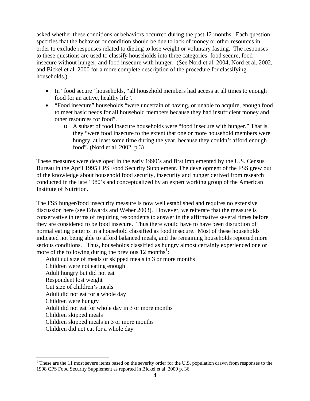asked whether these conditions or behaviors occurred during the past 12 months. Each question specifies that the behavior or condition should be due to lack of money or other resources in order to exclude responses related to dieting to lose weight or voluntary fasting. The responses to these questions are used to classify households into three categories: food secure, food insecure without hunger, and food insecure with hunger. (See Nord et al. 2004, Nord et al. 2002, and Bickel et al. 2000 for a more complete description of the procedure for classifying households.)

- In "food secure" households, "all household members had access at all times to enough food for an active, healthy life".
- "Food insecure" households "were uncertain of having, or unable to acquire, enough food to meet basic needs for all household members because they had insufficient money and other resources for food".
	- o A subset of food insecure households were "food insecure with hunger." That is, they "were food insecure to the extent that one or more household members were hungry, at least some time during the year, because they couldn't afford enough food". (Nord et al. 2002, p.3)

These measures were developed in the early 1990's and first implemented by the U.S. Census Bureau in the April 1995 CPS Food Security Supplement. The development of the FSS grew out of the knowledge about household food security, insecurity and hunger derived from research conducted in the late 1980's and conceptualized by an expert working group of the American Institute of Nutrition.

The FSS hunger/food insecurity measure is now well established and requires no extensive discussion here (see Edwards and Weber 2003). However, we reiterate that the measure is conservative in terms of requiring respondents to answer in the affirmative several times before they are considered to be food insecure. Thus there would have to have been disruption of normal eating patterns in a household classified as food insecure. Most of these households indicated not being able to afford balanced meals, and the remaining households reported more serious conditions. Thus, households classified as hungry almost certainly experienced one or more of the following during the previous [1](#page-4-0)2 months<sup>1</sup>:

Adult cut size of meals or skipped meals in 3 or more months Children were not eating enough Adult hungry but did not eat Respondent lost weight Cut size of children's meals Adult did not eat for a whole day Children were hungry Adult did not eat for whole day in 3 or more months Children skipped meals Children skipped meals in 3 or more months Children did not eat for a whole day

 $\overline{a}$ 

<span id="page-4-0"></span><sup>&</sup>lt;sup>1</sup> These are the 11 most severe items based on the severity order for the U.S. population drawn from responses to the 1998 CPS Food Security Supplement as reported in Bickel et al. 2000 p. 36.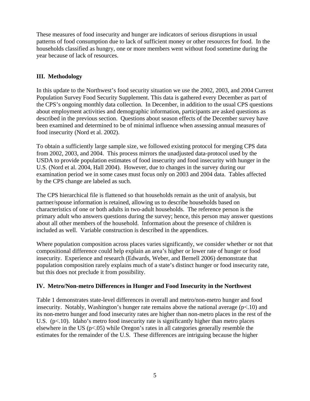These measures of food insecurity and hunger are indicators of serious disruptions in usual patterns of food consumption due to lack of sufficient money or other resources for food. In the households classified as hungry, one or more members went without food sometime during the year because of lack of resources.

#### **III. Methodology**

In this update to the Northwest's food security situation we use the 2002, 2003, and 2004 Current Population Survey Food Security Supplement. This data is gathered every December as part of the CPS's ongoing monthly data collection. In December, in addition to the usual CPS questions about employment activities and demographic information, participants are asked questions as described in the previous section. Questions about season effects of the December survey have been examined and determined to be of minimal influence when assessing annual measures of food insecurity (Nord et al. 2002).

To obtain a sufficiently large sample size, we followed existing protocol for merging CPS data from 2002, 2003, and 2004. This process mirrors the unadjusted data-protocol used by the USDA to provide population estimates of food insecurity and food insecurity with hunger in the U.S. (Nord et al. 2004, Hall 2004). However, due to changes in the survey during our examination period we in some cases must focus only on 2003 and 2004 data. Tables affected by the CPS change are labeled as such.

The CPS hierarchical file is flattened so that households remain as the unit of analysis, but partner/spouse information is retained, allowing us to describe households based on characteristics of one or both adults in two-adult households. The reference person is the primary adult who answers questions during the survey; hence, this person may answer questions about all other members of the household. Information about the presence of children is included as well. Variable construction is described in the appendices.

Where population composition across places varies significantly, we consider whether or not that compositional difference could help explain an area's higher or lower rate of hunger or food insecurity. Experience and research (Edwards, Weber, and Bernell 2006) demonstrate that population composition rarely explains much of a state's distinct hunger or food insecurity rate, but this does not preclude it from possibility.

#### **IV. Metro/Non-metro Differences in Hunger and Food Insecurity in the Northwest**

Table 1 demonstrates state-level differences in overall and metro/non-metro hunger and food insecurity. Notably, Washington's hunger rate remains above the national average  $(p<10)$  and its non-metro hunger and food insecurity rates are higher than non-metro places in the rest of the U.S. ( $p<.10$ ). Idaho's metro food insecurity rate is significantly higher than metro places elsewhere in the US ( $p<0.05$ ) while Oregon's rates in all categories generally resemble the estimates for the remainder of the U.S. These differences are intriguing because the higher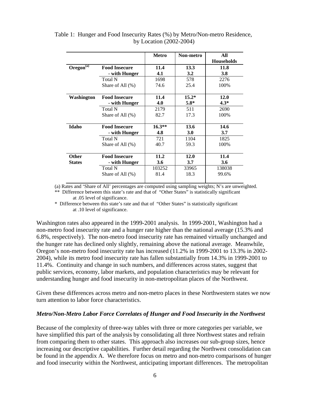|               |                      | Metro    | Non-metro  | All               |
|---------------|----------------------|----------|------------|-------------------|
|               |                      |          |            | <b>Households</b> |
| Oregon $(a)$  | <b>Food Insecure</b> | 11.4     | 13.3       | 11.8              |
|               | - with Hunger        | 4.1      | 3.2        | <b>3.8</b>        |
|               | <b>Total N</b>       | 1698     | 578        | 2276              |
|               | Share of All $(\%)$  | 74.6     | 25.4       | 100%              |
| Washington    | <b>Food Insecure</b> | 11.4     | $15.2*$    | 12.0              |
|               | - with Hunger        | 4.0      | $5.8*$     | $4.3*$            |
|               | <b>Total N</b>       | 2179     | 511        | 2690              |
|               | Share of All $(\%)$  | 82.7     | 17.3       | 100%              |
| Idaho         | <b>Food Insecure</b> | $16.3**$ | 13.6       | 14.6              |
|               | - with Hunger        | 4.8      | <b>3.0</b> | 3.7               |
|               | <b>Total N</b>       | 721      | 1104       | 1825              |
|               | Share of All $(\%)$  | 40.7     | 59.3       | 100%              |
| <b>Other</b>  | <b>Food Insecure</b> | 11.2     | 12.0       | 11.4              |
| <b>States</b> | - with Hunger        | 3.6      | 3.7        | 3.6               |
|               | <b>Total N</b>       | 103252   | 33965      | 138038            |
|               | Share of All $(\%)$  | 81.4     | 18.3       | 99.6%             |
|               |                      |          |            |                   |

 Table 1: Hunger and Food Insecurity Rates (%) by Metro/Non-metro Residence, by Location (2002-2004)

(a) Rates and 'Share of All' percentages are computed using sampling weights; N's are unweighted.

\*\* Difference between this state's rate and that of "Other States" is statistically significant at .05 level of significance.

\* Difference between this state's rate and that of "Other States" is statistically significant at .10 level of significance.

Washington rates also appeared in the 1999-2001 analysis. In 1999-2001, Washington had a non-metro food insecurity rate and a hunger rate higher than the national average (15.3% and 6.8%, respectively). The non-metro food insecurity rate has remained virtually unchanged and the hunger rate has declined only slightly, remaining above the national average. Meanwhile, Oregon's non-metro food insecurity rate has increased (11.2% in 1999-2001 to 13.3% in 2002- 2004), while its metro food insecurity rate has fallen substantially from 14.3% in 1999-2001 to 11.4%. Continuity and change in such numbers, and differences across states, suggest that public services, economy, labor markets, and population characteristics may be relevant for understanding hunger and food insecurity in non-metropolitan places of the Northwest.

Given these differences across metro and non-metro places in these Northwestern states we now turn attention to labor force characteristics.

#### *Metro/Non-Metro Labor Force Correlates of Hunger and Food Insecurity in the Northwest*

Because of the complexity of three-way tables with three or more categories per variable, we have simplified this part of the analysis by consolidating all three Northwest states and refrain from comparing them to other states. This approach also increases our sub-group sizes, hence increasing our descriptive capabilities. Further detail regarding the Northwest consolidation can be found in the appendix A. We therefore focus on metro and non-metro comparisons of hunger and food insecurity within the Northwest, anticipating important differences. The metropolitan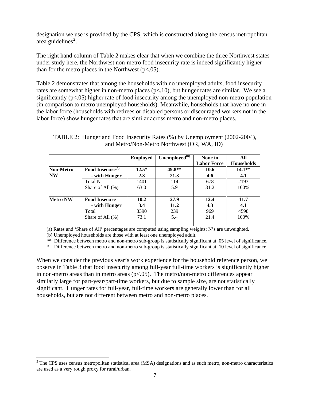designation we use is provided by the CPS, which is constructed along the census metropolitan  $area$  guidelines<sup>[2](#page-7-0)</sup>.

The right hand column of Table 2 makes clear that when we combine the three Northwest states under study here, the Northwest non-metro food insecurity rate is indeed significantly higher than for the metro places in the Northwest  $(p<.05)$ .

Table 2 demonstrates that among the households with no unemployed adults, food insecurity rates are somewhat higher in non-metro places (p<.10), but hunger rates are similar. We see a significantly  $(p<.05)$  higher rate of food insecurity among the unemployed non-metro population (in comparison to metro unemployed households). Meanwhile, households that have no one in the labor force (households with retirees or disabled persons or discouraged workers not in the labor force) show hunger rates that are similar across metro and non-metro places.

|                  |                              | <b>Employed</b> | Unemployed <sup>(b)</sup> | None in            | All               |
|------------------|------------------------------|-----------------|---------------------------|--------------------|-------------------|
|                  |                              |                 |                           | <b>Labor Force</b> | <b>Households</b> |
| <b>Non-Metro</b> | Food Insecure <sup>(a)</sup> | $12.5*$         | 49.8**                    | 10.6               | $14.1**$          |
| <b>NW</b>        | - with Hunger                | 2.3             | 21.3                      | 4.6                | 4.1               |
|                  | Total N                      | 1401            | 114                       | 678                | 2193              |
|                  | Share of All (%)             | 63.0            | 5.9                       | 31.2               | 100%              |
| <b>Metro NW</b>  | <b>Food Insecure</b>         | 10.2            | 27.9                      | 12.4               | 11.7              |
|                  | - with Hunger                | 3.4             | 11.2                      | 4.3                | 4.1               |
|                  | Total                        | 3390            | 239                       | 969                | 4598              |
|                  | Share of All $(\%)$          | 73.1            | 5.4                       | 21.4               | 100%              |

TABLE 2: Hunger and Food Insecurity Rates (%) by Unemployment (2002-2004), and Metro/Non-Metro Northwest (OR, WA, ID)

(a) Rates and 'Share of All' percentages are computed using sampling weights; N's are unweighted.

(b) Unemployed households are those with at least one unemployed adult.

 $\overline{a}$ 

\*\* Difference between metro and non-metro sub-group is statistically significant at .05 level of significance.

\* Difference between metro and non-metro sub-group is statistically significant at .10 level of significance.

When we consider the previous year's work experience for the household reference person, we observe in Table 3 that food insecurity among full-year full-time workers is significantly higher in non-metro areas than in metro areas  $(p<.05)$ . The metro/non-metro differences appear similarly large for part-year/part-time workers, but due to sample size, are not statistically significant. Hunger rates for full-year, full-time workers are generally lower than for all households, but are not different between metro and non-metro places.

<span id="page-7-0"></span> $2^2$  The CPS uses census metropolitan statistical area (MSA) designations and as such metro, non-metro characteristics are used as a very rough proxy for rural/urban.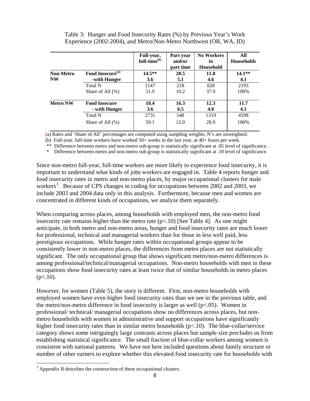|                 |                              | Full-year,<br>full-time <sup>(b)</sup> | Part year<br>and/or<br>part time | <b>No Workers</b><br>in<br>Household | All<br><b>Households</b> |
|-----------------|------------------------------|----------------------------------------|----------------------------------|--------------------------------------|--------------------------|
| Non-Metro       | Food Insecure <sup>(a)</sup> | $14.5***$                              | 20.5                             | 11.8                                 | $14.1**$                 |
| <b>NW</b>       | -with Hunger                 | 3.6                                    | 5.1                              | 4.6                                  | 4.1                      |
|                 | <b>Total N</b>               | 1147                                   | 218                              | 828                                  | 2193                     |
|                 | Share of All $(\%)$          | 51.9                                   | 10.2                             | 37.9                                 | 100%                     |
| <b>Metro NW</b> | <b>Food Insecure</b>         | 10.4                                   | 16.3                             | 12.3                                 | 11.7                     |
|                 | - with Hunger                | 3.6                                    | 6.5                              | 4.0                                  | 4.1                      |
|                 | <b>Total N</b>               | 2731                                   | 548                              | 1319                                 | 4598                     |
|                 | Share of All $(\%)$          | 59.1                                   | 12.0                             | 28.9                                 | 100%                     |

Table 3: Hunger and Food Insecurity Rates (%) by Previous Year's Work Experience (2002-2004), and Metro/Non-Metro Northwest (OR, WA, ID)

(a) Rates and 'Share of All' percentages are computed using sampling weights; N's are unweighted.

(b) Full-year, full-time workers have worked 50+ weeks in the last year, at 40+ hours per week.

\*\* Difference between metro and non-metro sub-group is statistically significant at .05 level of significance.

\* Difference between metro and non-metro sub-group is statistically significant at .10 level of significance.

Since non-metro full-year, full-time workers are more likely to experience food insecurity, it is important to understand what kinds of jobs workers are engaged in. Table 4 reports hunger and food insecurity rates in metro and non-metro places, by major occupational clusters for male workers<sup>[3](#page-8-0)</sup>. Because of CPS changes in coding for occupations between 2002 and 2003, we include 2003 and 2004 data only in this analysis. Furthermore, because men and women are concentrated in different kinds of occupations, we analyze them separately.

When comparing across places, among households with employed men, the non-metro food insecurity rate remains higher than the metro rate  $(p<.10)$  [See Table 4]. As one might anticipate, in both metro and non-metro areas, hunger and food insecurity rates are much lower for professional, technical and managerial workers than for those in less well paid, less prestigious occupations. While hunger rates within occupational groups appear to be consistently lower in non-metro places, the differences from metro places are not statistically significant. The only occupational group that shows significant metro/non-metro differences is among professional/technical/managerial occupations. Non-metro households with men in these occupations show food insecurity rates at least twice that of similar households in metro places  $(p<.10)$ .

However, for women (Table 5), the story is different. First, non-metro households with employed women have even higher food insecurity rates than we see in the previous table, and the metro/non-metro difference in food insecurity is larger as well  $(p<0.05)$ . Women in professional/ technical/ managerial occupations show no differences across places, but nonmetro households with women in administrative and support occupations have significantly higher food insecurity rates than in similar metro households (p<.10). The blue-collar/service category shows some intriguingly large contrasts across places but sample size precludes us from establishing statistical significance. The small fraction of blue-collar workers among women is consistent with national patterns. We have not here included questions about family structure or number of other earners to explore whether this elevated food insecurity rate for households with

 $\overline{a}$ 

<span id="page-8-0"></span> $3$  Appendix B describes the construction of these occupational clusters.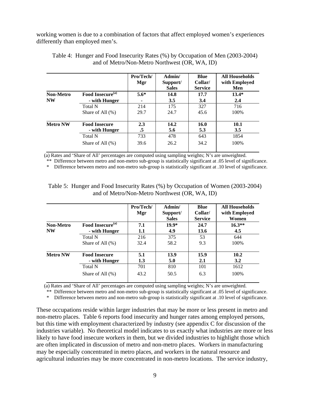working women is due to a combination of factors that affect employed women's experiences differently than employed men's.

|                  |                              | Pro/Tech/<br>Mgr | Admin/<br>Support/<br><b>Sales</b> | <b>Blue</b><br>Collar/<br><b>Service</b> | <b>All Households</b><br>with Employed<br>Men |
|------------------|------------------------------|------------------|------------------------------------|------------------------------------------|-----------------------------------------------|
| <b>Non-Metro</b> | Food Insecure <sup>(a)</sup> | $5.6*$           | 14.8                               | 17.7                                     | $13.4*$                                       |
| <b>NW</b>        | - with Hunger                |                  | 3.5                                | 3.4                                      | 2.4                                           |
|                  | <b>Total N</b>               | 214              | 175                                | 327                                      | 716                                           |
|                  | Share of All $(\%)$          | 29.7             | 24.7                               | 45.6                                     | 100\%                                         |
| <b>Metro NW</b>  | <b>Food Insecure</b>         | 2.3              | 14.2                               | 16.0                                     | <b>10.1</b>                                   |
|                  | - with Hunger                | .5               | 5.6                                | 5.3                                      | 3.5                                           |
|                  | <b>Total N</b>               | 733              | 478                                | 643                                      | 1854                                          |
|                  | Share of All $(\% )$         | 39.6             | 26.2                               | 34.2                                     | 100%                                          |

| Table 4: Hunger and Food Insecurity Rates (%) by Occupation of Men (2003-2004) |  |
|--------------------------------------------------------------------------------|--|
| and of Metro/Non-Metro Northwest (OR, WA, ID)                                  |  |

(a) Rates and 'Share of All' percentages are computed using sampling weights; N's are unweighted.

\*\* Difference between metro and non-metro sub-group is statistically significant at .05 level of significance.

\* Difference between metro and non-metro sub-group is statistically significant at .10 level of significance.

Table 5: Hunger and Food Insecurity Rates (%) by Occupation of Women (2003-2004) and of Metro/Non-Metro Northwest (OR, WA, ID)

|                 |                              | Pro/Tech/<br>Mgr | Admin/<br>Support/<br><b>Sales</b> | Blue<br>Collar/<br><b>Service</b> | <b>All Households</b><br>with Employed<br>Women |
|-----------------|------------------------------|------------------|------------------------------------|-----------------------------------|-------------------------------------------------|
| Non-Metro       | Food Insecure <sup>(a)</sup> | 7.1              | $19.9*$                            | 24.7                              | $16.3**$                                        |
| <b>NW</b>       | - with Hunger                | 1.1              | 4.9                                | 13.6                              | 4.5                                             |
|                 | <b>Total N</b>               | 216              | 375                                | 53                                | 644                                             |
|                 | Share of All $(\% )$         | 32.4             | 58.2                               | 9.3                               | 100%                                            |
| <b>Metro NW</b> | <b>Food Insecure</b>         | 5.1              | 13.9                               | 15.9                              | 10.2                                            |
|                 | - with Hunger                | 1.3              | 5.0                                | 2.1                               | 3.2                                             |
|                 | <b>Total N</b>               | 701              | 810                                | 101                               | 1612                                            |
|                 | Share of All $(\% )$         | 43.2             | 50.5                               | 6.3                               | 100%                                            |

(a) Rates and 'Share of All' percentages are computed using sampling weights; N's are unweighted.

\*\* Difference between metro and non-metro sub-group is statistically significant at .05 level of significance.

\* Difference between metro and non-metro sub-group is statistically significant at .10 level of significance.

These occupations reside within larger industries that may be more or less present in metro and non-metro places. Table 6 reports food insecurity and hunger rates among employed persons, but this time with employment characterized by industry (see appendix C for discussion of the industries variable). No theoretical model indicates to us exactly what industries are more or less likely to have food insecure workers in them, but we divided industries to highlight those which are often implicated in discussion of metro and non-metro places. Workers in manufacturing may be especially concentrated in metro places, and workers in the natural resource and agricultural industries may be more concentrated in non-metro locations. The service industry,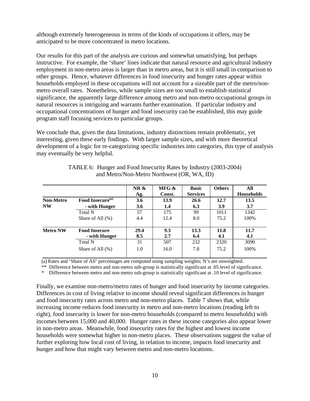although extremely heterogeneous in terms of the kinds of occupations it offers, may be anticipated to be more concentrated in metro locations.

Our results for this part of the analysis are curious and somewhat unsatisfying, but perhaps instructive. For example, the 'share' lines indicate that natural resource and agricultural industry employment in non-metro areas is larger than in metro areas, but it is still small in comparison to other groups. Hence, whatever differences in food insecurity and hunger rates appear within households employed in these occupations will not account for a sizeable part of the metro/nonmetro overall rates. Nonetheless, while sample sizes are too small to establish statistical significance, the apparently large difference among metro and non-metro occupational groups in natural resources is intriguing and warrants further examination. If particular industry and occupational concentrations of hunger and food insecurity can be established, this may guide program staff focusing services to particular groups.

We conclude that, given the data limitations, industry distinctions remain problematic, yet interesting, given these early findings. With larger sample sizes, and with more theoretical development of a logic for re-categorizing specific industries into categories, this type of analysis may eventually be very helpful.

|                  |                              | NR &<br>Ag. | MFG &<br>Const. | <b>Basic</b><br><b>Services</b> | <b>Others</b> | All<br><b>Households</b> |
|------------------|------------------------------|-------------|-----------------|---------------------------------|---------------|--------------------------|
| <b>Non-Metro</b> | Food Insecure <sup>(a)</sup> | 3.6         | 13.9            | 26.6                            | 12.7          | 13.5                     |
| <b>NW</b>        | - with Hunger                | 3.6         | 1.4             | 6.3                             | 3.9           | 3.7                      |
|                  | <b>Total N</b>               | 57          | 175             | 99                              | 1011          | 1342                     |
|                  | Share of All $(\%)$          | 4.4         | 12.4            | 8.0                             | 75.2          | 100%                     |
| <b>Metro NW</b>  | <b>Food Insecure</b>         | 29.4        | 9.3             | 13.3                            | 11.8          | 11.7                     |
|                  | - with Hunger                | 8.5         | 2.7             | 6.4                             | 4.1           | 4.1                      |
|                  | Total N                      | 31          | 507             | 232                             | 2320          | 3090                     |
|                  | Share of All $(\%)$          | 1.0         | 16.0            | 7.8                             | 75.2          | 100%                     |

| TABLE 6: Hunger and Food Insecurity Rates by Industry (2003-2004) |
|-------------------------------------------------------------------|
| and Metro/Non-Metro Northwest (OR, WA, ID)                        |

(a)Rates and 'Share of All' percentages are computed using sampling weights; N's are unweighted.

\*\* Difference between metro and non-metro sub-group is statistically significant at .05 level of significance.

\* Difference between metro and non-metro sub-group is statistically significant at .10 level of significance.

Finally, we examine non-metro/metro rates of hunger and food insecurity by income categories. Differences in cost of living relative to income should reveal significant differences in hunger and food insecurity rates across metro and non-metro places. Table 7 shows that, while increasing income reduces food insecurity in metro and non-metro locations (reading left to right), food insecurity is lower for non-metro households (compared to metro households) with incomes between 15,000 and 40,000. Hunger rates in these income categories also appear lower in non-metro areas. Meanwhile, food insecurity rates for the highest and lowest income households were somewhat higher in non-metro places. These observations suggest the value of further exploring how local cost of living, in relation to income, impacts food insecurity and hunger and how that might vary between metro and non-metro locations.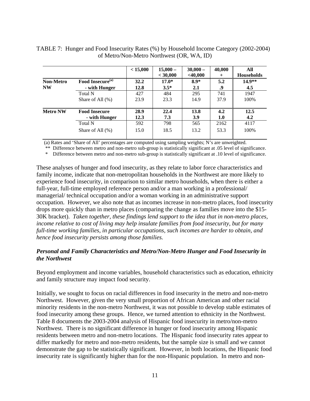|                  |                              | < 15,000 | $15,000 -$<br>< 30,000 | $30,000 -$<br>$<$ 40,000 | 40,000<br>$^+$ | All<br><b>Households</b> |
|------------------|------------------------------|----------|------------------------|--------------------------|----------------|--------------------------|
| <b>Non-Metro</b> | Food Insecure <sup>(a)</sup> | 32.2     | $17.0*$                | $8.9*$                   | 5.2            | $14.9**$                 |
| <b>NW</b>        | - with Hunger                | 12.8     | $3.5*$                 | 2.1                      | .9             | 4.5                      |
|                  | Total N                      | 427      | 484                    | 295                      | 741            | 1947                     |
|                  | Share of All $(\% )$         | 23.9     | 23.3                   | 14.9                     | 37.9           | 100%                     |
| <b>Metro NW</b>  | <b>Food Insecure</b>         | 28.9     | 22.4                   | 13.8                     | 4.2            | 12.5                     |
|                  | - with Hunger                | 12.3     | 7.3                    | 3.9                      | 1.0            | 4.2                      |
|                  | Total N                      | 592      | 798                    | 565                      | 2162           | 4117                     |
|                  | Share of All $(\% )$         | 15.0     | 18.5                   | 13.2                     | 53.3           | 100%                     |

| TABLE 7: Hunger and Food Insecurity Rates (%) by Household Income Category (2002-2004) |  |
|----------------------------------------------------------------------------------------|--|
| of Metro/Non-Metro Northwest (OR, WA, ID)                                              |  |

(a) Rates and 'Share of All' percentages are computed using sampling weights; N's are unweighted.

\*\* Difference between metro and non-metro sub-group is statistically significant at .05 level of significance.

\* Difference between metro and non-metro sub-group is statistically significant at .10 level of significance.

These analyses of hunger and food insecurity, as they relate to labor force characteristics and family income, indicate that non-metropolitan households in the Northwest are more likely to experience food insecurity, in comparison to similar metro households, when there is either a full-year, full-time employed reference person and/or a man working in a professional/ managerial/ technical occupation and/or a woman working in an administrative support occupation. However, we also note that as incomes increase in non-metro places, food insecurity drops more quickly than in metro places (comparing the change as families move into the \$15- 30K bracket). *Taken together, these findings lend support to the idea that in non-metro places, income relative to cost of living may help insulate families from food insecurity, but for many full-time working families, in particular occupations, such incomes are harder to obtain, and hence food insecurity persists among those families.*

#### *Personal and Family Characteristics and Metro/Non-Metro Hunger and Food Insecurity in the Northwest*

Beyond employment and income variables, household characteristics such as education, ethnicity and family structure may impact food security.

Initially, we sought to focus on racial differences in food insecurity in the metro and non-metro Northwest. However, given the very small proportion of African American and other racial minority residents in the non-metro Northwest, it was not possible to develop stable estimates of food insecurity among these groups. Hence, we turned attention to ethnicity in the Northwest. Table 8 documents the 2003-2004 analysis of Hispanic food insecurity in metro/non-metro Northwest. There is no significant difference in hunger or food insecurity among Hispanic residents between metro and non-metro locations. The Hispanic food insecurity rates appear to differ markedly for metro and non-metro residents, but the sample size is small and we cannot demonstrate the gap to be statistically significant. However, in both locations, the Hispanic food insecurity rate is significantly higher than for the non-Hispanic population. In metro and non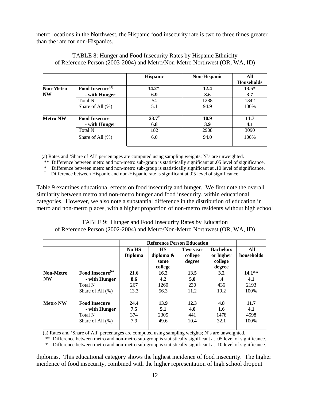metro locations in the Northwest, the Hispanic food insecurity rate is two to three times greater than the rate for non-Hispanics.

|                  |                              | <b>Hispanic</b>   | <b>Non-Hispanic</b> | All<br><b>Households</b> |
|------------------|------------------------------|-------------------|---------------------|--------------------------|
| <b>Non-Metro</b> | Food Insecure <sup>(a)</sup> | $34.2*^{\dagger}$ | 12.4                | $13.5*$                  |
| <b>NW</b>        | - with Hunger                | 6.9               | 3.6                 | 3.7                      |
|                  | Total N                      | 54                | 1288                | 1342                     |
|                  | Share of All $(\%)$          | 5.1               | 94.9                | 100%                     |
| <b>Metro NW</b>  | <b>Food Insecure</b>         | $23.7^{\dagger}$  | 10.9                | 11.7                     |
|                  | - with Hunger                | 6.8               | 3.9                 | 4.1                      |
|                  | Total N                      | 182               | 2908                | 3090                     |
|                  | Share of All $(\%)$          | 6.0               | 94.0                | 100%                     |

TABLE 8: Hunger and Food Insecurity Rates by Hispanic Ethnicity of Reference Person (2003-2004) and Metro/Non-Metro Northwest (OR, WA, ID)

(a) Rates and 'Share of All' percentages are computed using sampling weights; N's are unweighted.

\*\* Difference between metro and non-metro sub-group is statistically significant at .05 level of significance.

\* Difference between metro and non-metro sub-group is statistically significant at .10 level of significance.

† Difference between Hispanic and non-Hispanic rate is significant at .05 level of significance.

Table 9 examines educational effects on food insecurity and hunger. We first note the overall similarity between metro and non-metro hunger and food insecurity, within educational categories. However, we also note a substantial difference in the distribution of education in metro and non-metro places, with a higher proportion of non-metro residents without high school

TABLE 9: Hunger and Food Insecurity Rates by Education of Reference Person (2002-2004) and Metro/Non-Metro Northwest (OR, WA, ID)

|                 |                                       |                                | <b>Reference Person Education</b>         |                               |                                                    |                   |
|-----------------|---------------------------------------|--------------------------------|-------------------------------------------|-------------------------------|----------------------------------------------------|-------------------|
|                 |                                       | <b>No HS</b><br><b>Diploma</b> | <b>HS</b><br>diploma &<br>some<br>college | Two year<br>college<br>degree | <b>Bachelors</b><br>or higher<br>college<br>degree | All<br>households |
| Non-Metro       | Food Insecure <sup>(a)</sup>          | 21.6                           | 16.2                                      | 13.5                          | 3.2                                                | $14.1**$          |
| <b>NW</b>       | - with Hunger                         | 8.6                            | 4.2                                       | 5.0                           | .4                                                 | 4.1               |
|                 | <b>Total N</b>                        | 267                            | 1260                                      | 230                           | 436                                                | 2193              |
|                 | Share of All $(\%)$                   | 13.3                           | 56.3                                      | 11.2                          | 19.2                                               | 100%              |
| <b>Metro NW</b> | <b>Food Insecure</b><br>- with Hunger | 24.4<br>7.5                    | 13.9<br>5.1                               | 12.3<br>4.0                   | 4.8<br>1.6                                         | 11.7<br>4.1       |
|                 | <b>Total N</b>                        | 374                            | 2305                                      | 441                           | 1478                                               | 4598              |
|                 | Share of All $(\% )$                  | 7.9                            | 49.6                                      | 10.4                          | 32.1                                               | 100%              |

(a) Rates and 'Share of All' percentages are computed using sampling weights; N's are unweighted.

\*\* Difference between metro and non-metro sub-group is statistically significant at .05 level of significance.

\* Difference between metro and non-metro sub-group is statistically significant at .10 level of significance.

diplomas. This educational category shows the highest incidence of food insecurity. The higher incidence of food insecurity, combined with the higher representation of high school dropout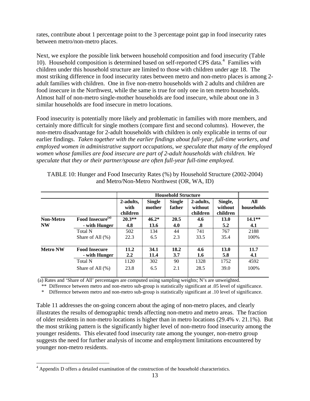rates, contribute about 1 percentage point to the 3 percentage point gap in food insecurity rates between metro/non-metro places.

Next, we explore the possible link between household composition and food insecurity (Table 10). Household composition is determined based on self-reported CPS data.<sup>[4](#page-13-0)</sup> Families with children under this household structure are limited to those with children under age 18. The most striking difference in food insecurity rates between metro and non-metro places is among 2 adult families with children. One in five non-metro households with 2 adults and children are food insecure in the Northwest, while the same is true for only one in ten metro households. Almost half of non-metro single-mother households are food insecure, while about one in 3 similar households are food insecure in metro locations.

Food insecurity is potentially more likely and problematic in families with more members, and certainly more difficult for single mothers (compare first and second columns). However, the non-metro disadvantage for 2-adult households with children is only explicable in terms of our earlier findings. *Taken together with the earlier findings about full-year, full-time workers, and employed women in administrative support occupations, we speculate that many of the employed women whose families are food insecure are part of 2-adult households with children. We speculate that they or their partner/spouse are often full-year full-time employed.*

|                  |                                       | <b>Household Structure</b>    |                         |                         |                                  |                                |                   |
|------------------|---------------------------------------|-------------------------------|-------------------------|-------------------------|----------------------------------|--------------------------------|-------------------|
|                  |                                       | 2-adults,<br>with<br>children | <b>Single</b><br>mother | <b>Single</b><br>father | 2-adults.<br>without<br>children | Single,<br>without<br>children | All<br>households |
| <b>Non-Metro</b> | Food Insecure <sup>(a)</sup>          | $20.3**$                      | $46.2*$                 | 20.5                    | 4.6                              | 13.0                           | $14.1**$          |
| <b>NW</b>        | - with Hunger                         | 4.8                           | 13.6                    | 4.0                     | .8                               | 5.2                            | 4.1               |
|                  | Total N                               | 502                           | 134                     | 44                      | 741                              | 767                            | 2188              |
|                  | Share of All $(\% )$                  | 22.3                          | 6.5                     | 2.3                     | 33.5                             | 35.4                           | 100%              |
| <b>Metro NW</b>  | <b>Food Insecure</b><br>- with Hunger | 11.2<br>2.2                   | 34.1<br>11.4            | 18.2<br>3.7             | 4.6<br>1.6                       | 13.0<br>5.8                    | 11.7<br>4.1       |
|                  | <b>Total N</b>                        | 1120                          | 302                     | 90                      | 1328                             | 1752                           | 4592              |
|                  | Share of All $(\% )$                  | 23.8                          | 6.5                     | 2.1                     | 28.5                             | 39.0                           | 100%              |

TABLE 10: Hunger and Food Insecurity Rates (%) by Household Structure (2002-2004) and Metro/Non-Metro Northwest (OR, WA, ID)

(a) Rates and 'Share of All' percentages are computed using sampling weights; N's are unweighted.

\*\* Difference between metro and non-metro sub-group is statistically significant at .05 level of significance.

\* Difference between metro and non-metro sub-group is statistically significant at .10 level of significance.

Table 11 addresses the on-going concern about the aging of non-metro places, and clearly illustrates the results of demographic trends affecting non-metro and metro areas. The fraction of older residents in non-metro locations is higher than in metro locations (29.4% v. 21.1%). But the most striking pattern is the significantly higher level of non-metro food insecurity among the younger residents. This elevated food insecurity rate among the younger, non-metro group suggests the need for further analysis of income and employment limitations encountered by younger non-metro residents.

 $\overline{a}$ 

<span id="page-13-0"></span><sup>&</sup>lt;sup>4</sup> Appendix D offers a detailed examination of the construction of the household characteristics.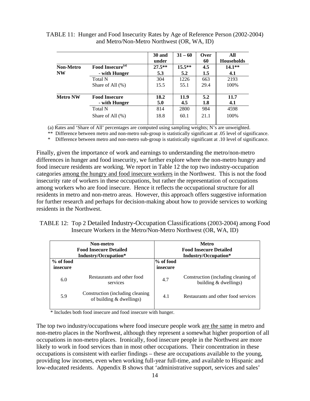|                  |                              | 30 and<br>under | $31 - 60$ | Over<br>60 | All<br><b>Households</b> |
|------------------|------------------------------|-----------------|-----------|------------|--------------------------|
| <b>Non-Metro</b> | Food Insecure <sup>(a)</sup> | $27.5**$        | $15.5**$  | 4.5        | $14.1**$                 |
| <b>NW</b>        | - with Hunger                | 5.3             | 5.2       | 1.5        | 4.1                      |
|                  | Total N                      | 304             | 1226      | 663        | 2193                     |
|                  | Share of All $(\%)$          | 15.5            | 55.1      | 29.4       | 100%                     |
| <b>Metro NW</b>  | <b>Food Insecure</b>         | 18.2            | 11.9      | 5.2        | 11.7                     |
|                  | - with Hunger                | 5.0             | 4.5       | 1.8        | 4.1                      |
|                  | <b>Total N</b>               | 814             | 2800      | 984        | 4598                     |
|                  | Share of All $(\%)$          | 18.8            | 60.1      | 21.1       | 100%                     |

TABLE 11: Hunger and Food Insecurity Rates by Age of Reference Person (2002-2004) and Metro/Non-Metro Northwest (OR, WA, ID)

(a) Rates and 'Share of All' percentages are computed using sampling weights; N's are unweighted.

\*\* Difference between metro and non-metro sub-group is statistically significant at .05 level of significance.

Difference between metro and non-metro sub-group is statistically significant at .10 level of significance.

Finally, given the importance of work and earnings to understanding the metro/non-metro differences in hunger and food insecurity, we further explore where the non-metro hungry and food insecure residents are working. We report in Table 12 the top two industry-occupation categories among the hungry and food insecure workers in the Northwest. This is not the food insecurity rate of workers in these occupations, but rather the representation of occupations among workers who are food insecure. Hence it reflects the occupational structure for all residents in metro and non-metro areas. However, this approach offers suggestive information for further research and perhaps for decision-making about how to provide services to working residents in the Northwest.

| TABLE 12: Top 2 Detailed Industry-Occupation Classifications (2003-2004) among Food |
|-------------------------------------------------------------------------------------|
| Insecure Workers in the Metro/Non-Metro Northwest (OR, WA, ID)                      |

| Non-metro<br><b>Food Insecure Detailed</b><br>Industry/Occupation* |                                                                | Metro<br><b>Food Insecure Detailed</b><br>Industry/Occupation* |                                                                |  |
|--------------------------------------------------------------------|----------------------------------------------------------------|----------------------------------------------------------------|----------------------------------------------------------------|--|
| % of food<br>insecure                                              |                                                                | % of food<br>insecure                                          |                                                                |  |
| 6.0                                                                | Restaurants and other food<br>services                         | 4.7                                                            | Construction (including cleaning of<br>building $&$ dwellings) |  |
| 5.9                                                                | Construction (including cleaning<br>of building $&$ dwellings) | 4.1                                                            | Restaurants and other food services                            |  |

\* Includes both food insecure and food insecure with hunger.

The top two industry/occupations where food insecure people work are the same in metro and non-metro places in the Northwest, although they represent a somewhat higher proportion of all occupations in non-metro places. Ironically, food insecure people in the Northwest are more likely to work in food services than in most other occupations. Their concentration in these occupations is consistent with earlier findings – these are occupations available to the young, providing low incomes, even when working full-year full-time, and available to Hispanic and low-educated residents. Appendix B shows that 'administrative support, services and sales'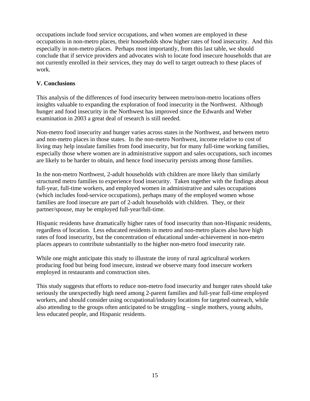occupations include food service occupations, and when women are employed in these occupations in non-metro places, their households show higher rates of food insecurity. And this especially in non-metro places. Perhaps most importantly, from this last table, we should conclude that if service providers and advocates wish to locate food insecure households that are not currently enrolled in their services, they may do well to target outreach to these places of work.

#### **V. Conclusions**

This analysis of the differences of food insecurity between metro/non-metro locations offers insights valuable to expanding the exploration of food insecurity in the Northwest. Although hunger and food insecurity in the Northwest has improved since the Edwards and Weber examination in 2003 a great deal of research is still needed.

Non-metro food insecurity and hunger varies across states in the Northwest, and between metro and non-metro places in those states. In the non-metro Northwest, income relative to cost of living may help insulate families from food insecurity, but for many full-time working families, especially those where women are in administrative support and sales occupations, such incomes are likely to be harder to obtain, and hence food insecurity persists among those families.

In the non-metro Northwest, 2-adult households with children are more likely than similarly structured metro families to experience food insecurity. Taken together with the findings about full-year, full-time workers, and employed women in administrative and sales occupations (which includes food-service occupations), perhaps many of the employed women whose families are food insecure are part of 2-adult households with children. They, or their partner/spouse, may be employed full-year/full-time.

Hispanic residents have dramatically higher rates of food insecurity than non-Hispanic residents, regardless of location. Less educated residents in metro and non-metro places also have high rates of food insecurity, but the concentration of educational under-achievement in non-metro places appears to contribute substantially to the higher non-metro food insecurity rate.

While one might anticipate this study to illustrate the irony of rural agricultural workers producing food but being food insecure, instead we observe many food insecure workers employed in restaurants and construction sites.

This study suggests that efforts to reduce non-metro food insecurity and hunger rates should take seriously the unexpectedly high need among 2-parent families and full-year full-time employed workers, and should consider using occupational/industry locations for targeted outreach, while also attending to the groups often anticipated to be struggling – single mothers, young adults, less educated people, and Hispanic residents.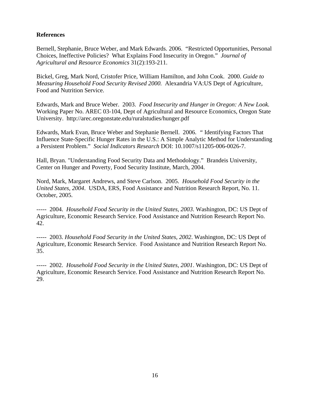#### **References**

Bernell, Stephanie, Bruce Weber, and Mark Edwards. 2006. "Restricted Opportunities, Personal Choices, Ineffective Policies? What Explains Food Insecurity in Oregon." *Journal of Agricultural and Resource Economics* 31(2):193-211.

Bickel, Greg, Mark Nord, Cristofer Price, William Hamilton, and John Cook. 2000. *Guide to Measuring Household Food Security Revised 2000.* Alexandria VA:US Dept of Agriculture, Food and Nutrition Service.

Edwards, Mark and Bruce Weber. 2003. *Food Insecurity and Hunger in Oregon: A New Look.* Working Paper No. AREC 03-104, Dept of Agricultural and Resource Economics, Oregon State University. http://arec.oregonstate.edu/ruralstudies/hunger.pdf

Edwards, Mark Evan, Bruce Weber and Stephanie Bernell. 2006. *"* Identifying Factors That Influence State-Specific Hunger Rates in the U.S.: A Simple Analytic Method for Understanding a Persistent Problem." *Social Indicators Research* DOI: 10.1007/s11205-006-0026-7.

Hall, Bryan. "Understanding Food Security Data and Methodology." Brandeis University, Center on Hunger and Poverty, Food Security Institute, March, 2004.

Nord, Mark, Margaret Andrews, and Steve Carlson. 2005. *Household Food Security in the United States, 2004*. USDA, ERS, Food Assistance and Nutrition Research Report, No. 11. October, 2005.

----- 2004. *Household Food Security in the United States, 2003*. Washington, DC: US Dept of Agriculture, Economic Research Service. Food Assistance and Nutrition Research Report No. 42.

----- 2003. *Household Food Security in the United States, 2002*. Washington, DC: US Dept of Agriculture, Economic Research Service. Food Assistance and Nutrition Research Report No. 35.

----- 2002. *Household Food Security in the United States, 2001*. Washington, DC: US Dept of Agriculture, Economic Research Service. Food Assistance and Nutrition Research Report No. 29.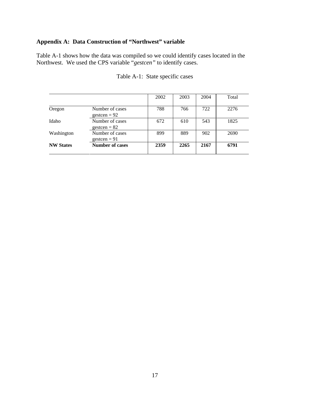#### **Appendix A: Data Construction of "Northwest" variable**

Table A-1 shows how the data was compiled so we could identify cases located in the Northwest. We used the CPS variable "*gestcen"* to identify cases.

|                  |                                   | 2002 | 2003 | 2004 | Total |
|------------------|-----------------------------------|------|------|------|-------|
| Oregon           | Number of cases<br>gestcen = $92$ | 788  | 766  | 722  | 2276  |
| Idaho            | Number of cases<br>$gestcen = 82$ | 672  | 610  | 543  | 1825  |
| Washington       | Number of cases<br>gesteen $= 91$ | 899  | 889  | 902  | 2690  |
| <b>NW States</b> | <b>Number of cases</b>            | 2359 | 2265 | 2167 | 6791  |

| Table A-1: State specific cases |  |  |  |
|---------------------------------|--|--|--|
|---------------------------------|--|--|--|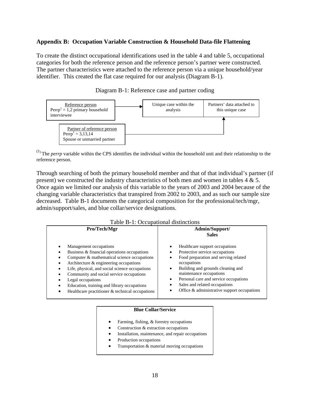#### **Appendix B: Occupation Variable Construction & Household Data-file Flattening**

To create the distinct occupational identifications used in the table 4 and table 5, occupational categories for both the reference person and the reference person's partner were constructed. The partner characteristics were attached to the reference person via a unique household/year identifier. This created the flat case required for our analysis (Diagram B-1).



Diagram B-1: Reference case and partner coding

 $<sup>(1)</sup>$  The *perrp* variable within the CPS identifies the individual within the household unit and their relationship to the</sup> reference person.

Through searching of both the primary household member and that of that individual's partner (if present) we constructed the industry characteristics of both men and women in tables  $4 \& 5$ . Once again we limited our analysis of this variable to the years of 2003 and 2004 because of the changing variable characteristics that transpired from 2002 to 2003, and as such our sample size decreased. Table B-1 documents the categorical composition for the professional/tech/mgr, admin/support/sales, and blue collar/service designations.

| Table B-1: Occupational distinctions                                                                                                                                                                                                                                                                                                                                                |                                                                                                                                                                                                                                                                                                                       |  |  |  |
|-------------------------------------------------------------------------------------------------------------------------------------------------------------------------------------------------------------------------------------------------------------------------------------------------------------------------------------------------------------------------------------|-----------------------------------------------------------------------------------------------------------------------------------------------------------------------------------------------------------------------------------------------------------------------------------------------------------------------|--|--|--|
| Pro/Tech/Mgr                                                                                                                                                                                                                                                                                                                                                                        | Admin/Support/<br><b>Sales</b>                                                                                                                                                                                                                                                                                        |  |  |  |
| Management occupations<br>Business & financial operations occupations<br>Computer & mathematical science occupations<br>Architecture & engineering occupations<br>Life, physical, and social science occupations<br>Community and social service occupations<br>Legal occupations<br>Education, training and library occupations<br>Healthcare practitioner & technical occupations | Healthcare support occupations<br>Protective service occupations<br>Food preparation and serving related<br>occupations<br>Building and grounds cleaning and<br>maintenance occupations<br>Personal care and service occupations<br>٠<br>Sales and related occupations<br>Office & administrative support occupations |  |  |  |

Table B-1: Occupational distinctions

#### **Blue Collar/Service**

- Farming, fishing, & forestry occupations
- Construction & extraction occupations
- Installation, maintenance, and repair occupations
- Production occupations
- Transportation & material moving occupations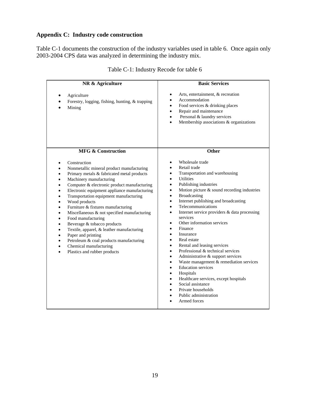#### **Appendix C: Industry code construction**

Table C-1 documents the construction of the industry variables used in table 6. Once again only 2003-2004 CPS data was analyzed in determining the industry mix.

| NR & Agriculture                                                                                                                                                                                                                                                                                                                                                                                                                                                                                                                                                                                                                                                                                                                                                                                                                    | <b>Basic Services</b>                                                                                                                                                                                                                                                                                                                                                                                                                                                                                                                                                                                                                                                                                                                                                                                                                                                                                                                                                                                                                  |
|-------------------------------------------------------------------------------------------------------------------------------------------------------------------------------------------------------------------------------------------------------------------------------------------------------------------------------------------------------------------------------------------------------------------------------------------------------------------------------------------------------------------------------------------------------------------------------------------------------------------------------------------------------------------------------------------------------------------------------------------------------------------------------------------------------------------------------------|----------------------------------------------------------------------------------------------------------------------------------------------------------------------------------------------------------------------------------------------------------------------------------------------------------------------------------------------------------------------------------------------------------------------------------------------------------------------------------------------------------------------------------------------------------------------------------------------------------------------------------------------------------------------------------------------------------------------------------------------------------------------------------------------------------------------------------------------------------------------------------------------------------------------------------------------------------------------------------------------------------------------------------------|
| Agriculture<br>Forestry, logging, fishing, hunting, & trapping<br>Mining                                                                                                                                                                                                                                                                                                                                                                                                                                                                                                                                                                                                                                                                                                                                                            | Arts, entertainment, & recreation<br>$\bullet$<br>Accommodation<br>$\bullet$<br>Food services & drinking places<br>$\bullet$<br>Repair and maintenance<br>$\bullet$<br>Personal & laundry services<br>$\bullet$<br>Membership associations & organizations<br>$\bullet$                                                                                                                                                                                                                                                                                                                                                                                                                                                                                                                                                                                                                                                                                                                                                                |
| <b>MFG &amp; Construction</b>                                                                                                                                                                                                                                                                                                                                                                                                                                                                                                                                                                                                                                                                                                                                                                                                       | Other                                                                                                                                                                                                                                                                                                                                                                                                                                                                                                                                                                                                                                                                                                                                                                                                                                                                                                                                                                                                                                  |
| Construction<br>$\bullet$<br>Nonmetallic mineral product manufacturing<br>$\bullet$<br>Primary metals & fabricated metal products<br>$\bullet$<br>Machinery manufacturing<br>$\bullet$<br>Computer & electronic product manufacturing<br>٠<br>Electronic equipment appliance manufacturing<br>$\bullet$<br>Transportation equipment manufacturing<br>$\bullet$<br>Wood products<br>$\bullet$<br>Furniture & fixtures manufacturing<br>$\bullet$<br>Miscellaneous & not specified manufacturing<br>$\bullet$<br>Food manufacturing<br>$\bullet$<br>Beverage & tobacco products<br>$\bullet$<br>Textile, apparel, & leather manufacturing<br>$\bullet$<br>Paper and printing<br>$\bullet$<br>Petroleum & coal products manufacturing<br>$\bullet$<br>Chemical manufacturing<br>$\bullet$<br>Plastics and rubber products<br>$\bullet$ | Wholesale trade<br>$\bullet$<br>Retail trade<br>$\bullet$<br>Transportation and warehousing<br>$\bullet$<br><b>Utilities</b><br>$\bullet$<br>Publishing industries<br>$\bullet$<br>Motion picture & sound recording industries<br>$\bullet$<br><b>Broadcasting</b><br>$\bullet$<br>Internet publishing and broadcasting<br>$\bullet$<br>Telecommunications<br>$\bullet$<br>Internet service providers & data processing<br>$\bullet$<br>services<br>Other information services<br>$\bullet$<br>Finance<br>$\bullet$<br>Insurance<br>$\bullet$<br>Real estate<br>$\bullet$<br>Rental and leasing services<br>$\bullet$<br>Professional & technical services<br>$\bullet$<br>Administrative & support services<br>$\bullet$<br>Waste management & remediation services<br>$\bullet$<br><b>Education</b> services<br>$\bullet$<br>Hospitals<br>$\bullet$<br>Healthcare services, except hospitals<br>$\bullet$<br>Social assistance<br>$\bullet$<br>Private households<br>$\bullet$<br>Public administration<br>$\bullet$<br>Armed forces |